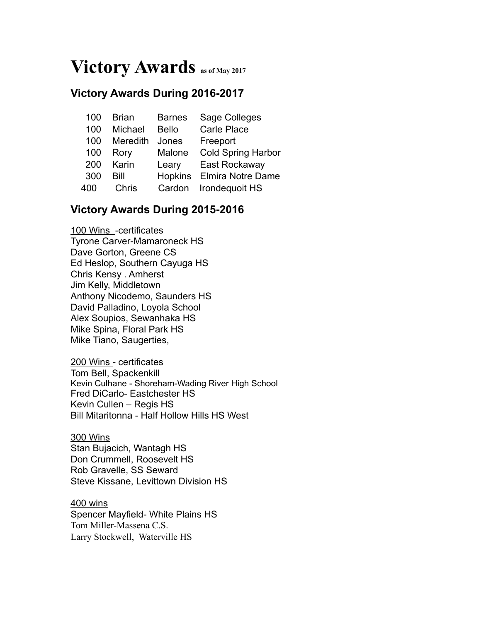# **Victory Awards as of May 2017**

# **Victory Awards During 2016-2017**

| 100 | <b>Brian</b> | <b>Barnes</b> | Sage Colleges             |
|-----|--------------|---------------|---------------------------|
| 100 | Michael      | <b>Bello</b>  | <b>Carle Place</b>        |
| 100 | Meredith     | Jones         | Freeport                  |
| 100 | Rory         | Malone        | <b>Cold Spring Harbor</b> |
| 200 | Karin        | Leary         | East Rockaway             |
| 300 | Rill         |               | Hopkins Elmira Notre Dame |
| 400 | Chris        |               | Cardon Irondequoit HS     |
|     |              |               |                           |

# **Victory Awards During 2015-2016**

100 Wins -certificates Tyrone Carver-Mamaroneck HS Dave Gorton, Greene CS Ed Heslop, Southern Cayuga HS Chris Kensy . Amherst Jim Kelly, Middletown Anthony Nicodemo, Saunders HS David Palladino, Loyola School Alex Soupios, Sewanhaka HS Mike Spina, Floral Park HS Mike Tiano, Saugerties,

200 Wins - certificates Tom Bell, Spackenkill Kevin Culhane - Shoreham-Wading River High School Fred DiCarlo- Eastchester HS Kevin Cullen – Regis HS Bill Mitaritonna - Half Hollow Hills HS West

300 Wins Stan Bujacich, Wantagh HS Don Crummell, Roosevelt HS Rob Gravelle, SS Seward Steve Kissane, Levittown Division HS

400 wins Spencer Mayfield- White Plains HS Tom Miller-Massena C.S. Larry Stockwell, Waterville HS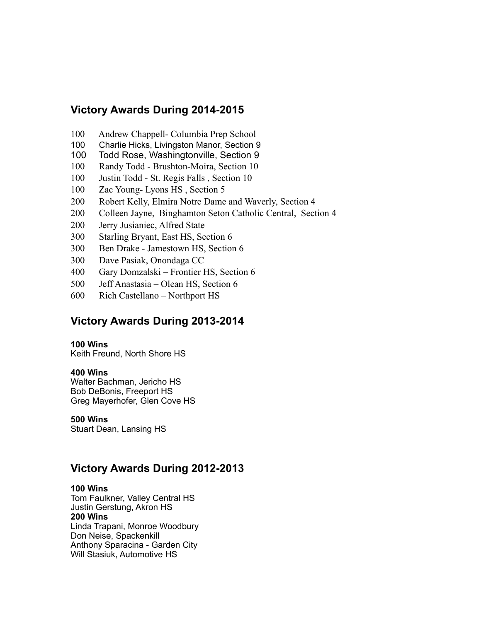# **Victory Awards During 2014-2015**

- 100 Andrew Chappell- Columbia Prep School
- 100 Charlie Hicks, Livingston Manor, Section 9
- 100 Todd Rose, Washingtonville, Section 9
- 100 Randy Todd Brushton-Moira, Section 10
- 100 Justin Todd St. Regis Falls , Section 10
- 100 Zac Young- Lyons HS, Section 5
- 200 Robert Kelly, Elmira Notre Dame and Waverly, Section 4
- 200 Colleen Jayne, Binghamton Seton Catholic Central, Section 4
- 200 Jerry Jusianiec, Alfred State
- 300 Starling Bryant, East HS, Section 6
- 300 Ben Drake Jamestown HS, Section 6
- 300 Dave Pasiak, Onondaga CC
- 400 Gary Domzalski Frontier HS, Section 6
- 500 Jeff Anastasia Olean HS, Section 6
- 600 Rich Castellano Northport HS

# **Victory Awards During 2013-2014**

#### **100 Wins**

Keith Freund, North Shore HS

# **400 Wins**

Walter Bachman, Jericho HS Bob DeBonis, Freeport HS Greg Mayerhofer, Glen Cove HS

# **500 Wins**

Stuart Dean, Lansing HS

# **Victory Awards During 2012-2013**

# **100 Wins**

Tom Faulkner, Valley Central HS Justin Gerstung, Akron HS **200 Wins** Linda Trapani, Monroe Woodbury Don Neise, Spackenkill Anthony Sparacina - Garden City Will Stasiuk, Automotive HS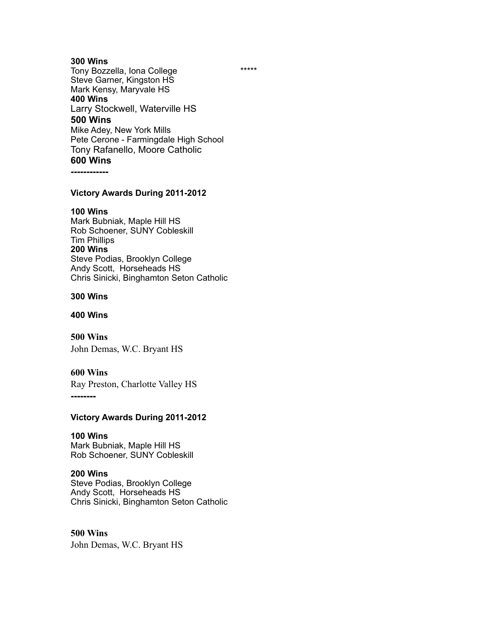# **300 Wins**

Tony Bozzella, Iona College \*\*\*\*\* Steve Garner, Kingston HS Mark Kensy, Maryvale HS **400 Wins** Larry Stockwell, Waterville HS **500 Wins** Mike Adey, New York Mills Pete Cerone - Farmingdale High School Tony Rafanello, Moore Catholic **600 Wins**

**------------**

#### **Victory Awards During 2011-2012**

#### **100 Wins**

Mark Bubniak, Maple Hill HS Rob Schoener, SUNY Cobleskill Tim Phillips **200 Wins** Steve Podias, Brooklyn College Andy Scott,Horseheads HS Chris Sinicki, Binghamton Seton Catholic

#### **300 Wins**

**400 Wins**

**500 Wins** John Demas, W.C. Bryant HS

#### **600 Wins**

Ray Preston, Charlotte Valley HS

**--------**

## **Victory Awards During 2011-2012**

## **100 Wins**

Mark Bubniak, Maple Hill HS Rob Schoener, SUNY Cobleskill

#### **200 Wins**

Steve Podias, Brooklyn College Andy Scott,Horseheads HS Chris Sinicki, Binghamton Seton Catholic

#### **500 Wins**

John Demas, W.C. Bryant HS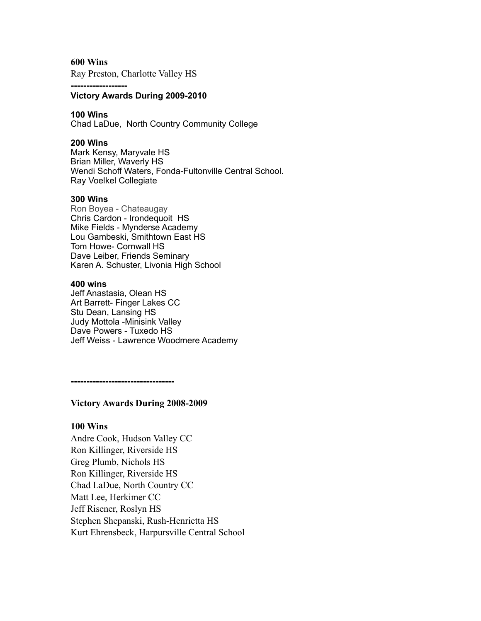**600 Wins**

Ray Preston, Charlotte Valley HS

**------------------**

## **Victory Awards During 2009-2010**

#### **100 Wins**

Chad LaDue, North Country Community College

#### **200 Wins**

Mark Kensy, Maryvale HS Brian Miller, Waverly HS Wendi Schoff Waters, Fonda-Fultonville Central School. Ray Voelkel Collegiate

#### **300 Wins**

Ron Boyea - Chateaugay Chris Cardon - Irondequoit HS Mike Fields - Mynderse Academy Lou Gambeski, Smithtown East HS Tom Howe- Cornwall HS Dave Leiber, Friends Seminary Karen A. Schuster, Livonia High School

#### **400 wins**

Jeff Anastasia, Olean HS Art Barrett- Finger Lakes CC Stu Dean, Lansing HS Judy Mottola -Minisink Valley Dave Powers - Tuxedo HS Jeff Weiss - Lawrence Woodmere Academy

**---------------------------------**

**Victory Awards During 2008-2009**

## **100 Wins**

Andre Cook, Hudson Valley CC Ron Killinger, Riverside HS Greg Plumb, Nichols HS Ron Killinger, Riverside HS Chad LaDue, North Country CC Matt Lee, Herkimer CC Jeff Risener, Roslyn HS Stephen Shepanski, Rush-Henrietta HS Kurt Ehrensbeck, Harpursville Central School